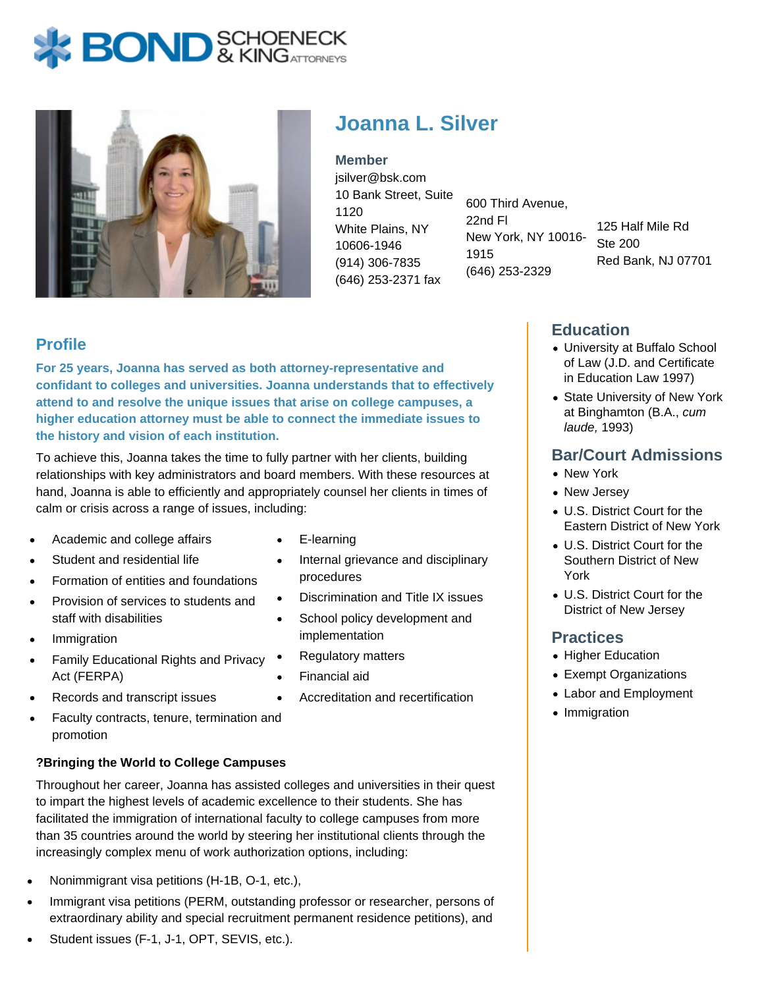# **BOND** & KINGATTORNECK



## **Joanna L. Silver**

**Member** jsilver@bsk.com 10 Bank Street, Suite 1120 White Plains, NY 10606-1946 (914) 306-7835 (646) 253-2371 fax

600 Third Avenue, 22nd Fl New York, NY 10016- 1915 (646) 253-2329

125 Half Mile Rd Ste 200 Red Bank, NJ 07701

## **Profile**

**For 25 years, Joanna has served as both attorney-representative and confidant to colleges and universities. Joanna understands that to effectively attend to and resolve the unique issues that arise on college campuses, a higher education attorney must be able to connect the immediate issues to the history and vision of each institution.**

To achieve this, Joanna takes the time to fully partner with her clients, building relationships with key administrators and board members. With these resources at hand, Joanna is able to efficiently and appropriately counsel her clients in times of calm or crisis across a range of issues, including:

- Academic and college affairs
- Student and residential life
- Formation of entities and foundations
- Provision of services to students and staff with disabilities
- Immigration
- Family Educational Rights and Privacy Act (FERPA)
- Records and transcript issues
- Faculty contracts, tenure, termination and promotion

#### **?Bringing the World to College Campuses**

Throughout her career, Joanna has assisted colleges and universities in their quest to impart the highest levels of academic excellence to their students. She has facilitated the immigration of international faculty to college campuses from more than 35 countries around the world by steering her institutional clients through the increasingly complex menu of work authorization options, including:

- Nonimmigrant visa petitions (H-1B, O-1, etc.),
- Immigrant visa petitions (PERM, outstanding professor or researcher, persons of extraordinary ability and special recruitment permanent residence petitions), and
- Student issues (F-1, J-1, OPT, SEVIS, etc.).
- E-learning
- Internal grievance and disciplinary procedures
- Discrimination and Title IX issues  $\bullet$
- School policy development and implementation
- Regulatory matters
- Financial aid
	- Accreditation and recertification

## **Education**

- University at Buffalo School of Law (J.D. and Certificate in Education Law 1997)
- State University of New York at Binghamton (B.A., cum laude, 1993)

## **Bar/Court Admissions**

- New York
- New Jersey
- U.S. District Court for the Eastern District of New York
- U.S. District Court for the Southern District of New York
- U.S. District Court for the District of New Jersey

## **Practices**

- Higher Education
- Exempt Organizations
- Labor and Employment
- Immigration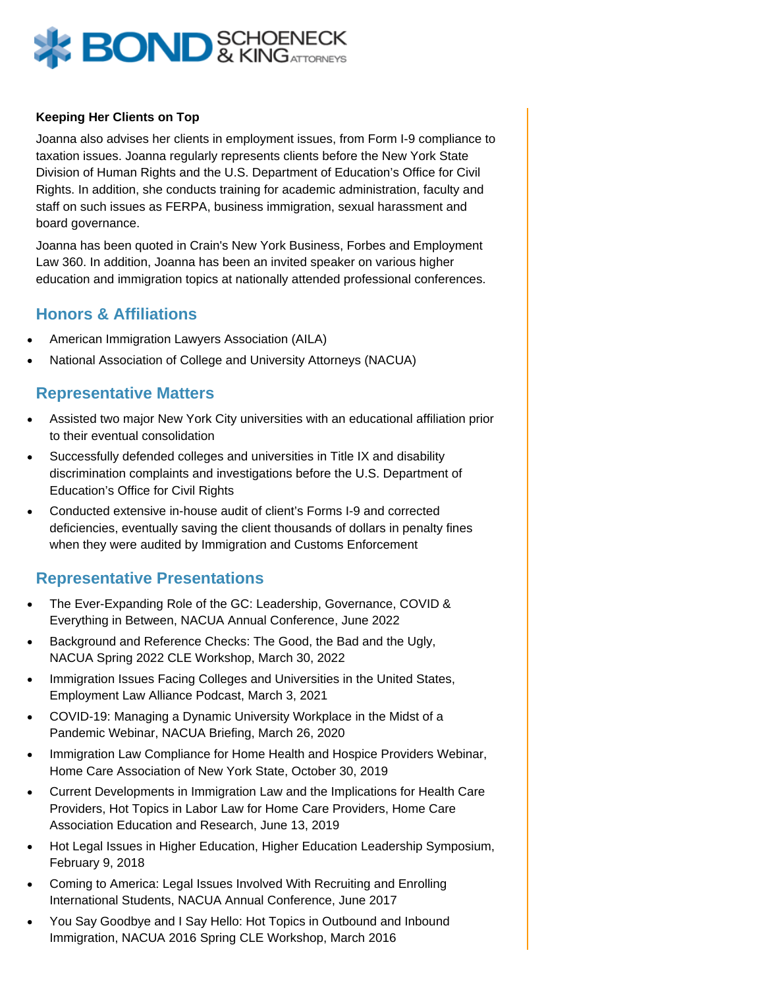

#### **Keeping Her Clients on Top**

Joanna also advises her clients in employment issues, from Form I-9 compliance to taxation issues. Joanna regularly represents clients before the New York State Division of Human Rights and the U.S. Department of Education's Office for Civil Rights. In addition, she conducts training for academic administration, faculty and staff on such issues as FERPA, business immigration, sexual harassment and board governance.

Joanna has been quoted in Crain's New York Business, Forbes and Employment Law 360. In addition, Joanna has been an invited speaker on various higher education and immigration topics at nationally attended professional conferences.

### **Honors & Affiliations**

- American Immigration Lawyers Association (AILA)
- National Association of College and University Attorneys (NACUA)

#### **Representative Matters**

- Assisted two major New York City universities with an educational affiliation prior to their eventual consolidation
- Successfully defended colleges and universities in Title IX and disability discrimination complaints and investigations before the U.S. Department of Education's Office for Civil Rights
- Conducted extensive in-house audit of client's Forms I-9 and corrected deficiencies, eventually saving the client thousands of dollars in penalty fines when they were audited by Immigration and Customs Enforcement

#### **Representative Presentations**

- The Ever-Expanding Role of the GC: Leadership, Governance, COVID & Everything in Between, NACUA Annual Conference, June 2022
- Background and Reference Checks: The Good, the Bad and the Ugly, NACUA Spring 2022 CLE Workshop, March 30, 2022
- Immigration Issues Facing Colleges and Universities in the United States, Employment Law Alliance Podcast, March 3, 2021
- COVID-19: Managing a Dynamic University Workplace in the Midst of a Pandemic Webinar, NACUA Briefing, March 26, 2020
- Immigration Law Compliance for Home Health and Hospice Providers Webinar, Home Care Association of New York State, October 30, 2019
- Current Developments in Immigration Law and the Implications for Health Care Providers, Hot Topics in Labor Law for Home Care Providers, Home Care Association Education and Research, June 13, 2019
- Hot Legal Issues in Higher Education, Higher Education Leadership Symposium, February 9, 2018
- Coming to America: Legal Issues Involved With Recruiting and Enrolling International Students, NACUA Annual Conference, June 2017
- You Say Goodbye and I Say Hello: Hot Topics in Outbound and Inbound Immigration, NACUA 2016 Spring CLE Workshop, March 2016